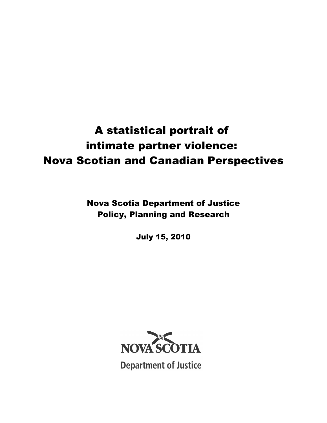# A statistical portrait of intimate partner violence: Nova Scotian and Canadian Perspectives

Nova Scotia Department of Justice Policy, Planning and Research

July 15, 2010



**Department of Justice**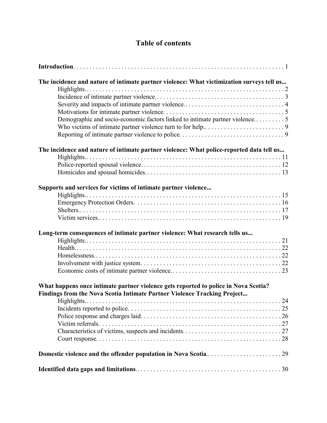## **Table of contents**

| The incidence and nature of intimate partner violence: What victimization surveys tell us |
|-------------------------------------------------------------------------------------------|
|                                                                                           |
|                                                                                           |
|                                                                                           |
|                                                                                           |
| Demographic and socio-economic factors linked to intimate partner violence5               |
|                                                                                           |
|                                                                                           |
| The incidence and nature of intimate partner violence: What police-reported data tell us  |
|                                                                                           |
|                                                                                           |
|                                                                                           |
|                                                                                           |
| Supports and services for victims of intimate partner violence                            |
|                                                                                           |
|                                                                                           |
|                                                                                           |
|                                                                                           |
| Long-term consequences of intimate partner violence: What research tells us               |
|                                                                                           |
|                                                                                           |
|                                                                                           |
|                                                                                           |
|                                                                                           |
| What happens once intimate partner violence gets reported to police in Nova Scotia?       |
| Findings from the Nova Scotia Intimate Partner Violence Tracking Project                  |
| Highlights                                                                                |
|                                                                                           |
|                                                                                           |
|                                                                                           |
|                                                                                           |
|                                                                                           |
|                                                                                           |
|                                                                                           |
|                                                                                           |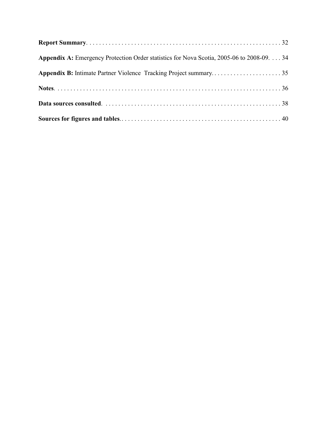| Appendix A: Emergency Protection Order statistics for Nova Scotia, 2005-06 to 2008-09. 34 |  |
|-------------------------------------------------------------------------------------------|--|
| Appendix B: Intimate Partner Violence Tracking Project summary35                          |  |
|                                                                                           |  |
|                                                                                           |  |
|                                                                                           |  |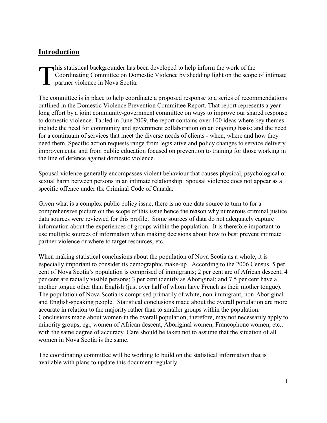## **Introduction**

T his statistical backgrounder has been developed to help inform the work of the Coordinating Committee on Domestic Violence by shedding light on the scope of intimate partner violence in Nova Scotia.

The committee is in place to help coordinate a proposed response to a series of recommendations outlined in the Domestic Violence Prevention Committee Report. That report represents a yearlong effort by a joint community-government committee on ways to improve our shared response to domestic violence. Tabled in June 2009, the report contains over 100 ideas where key themes include the need for community and government collaboration on an ongoing basis; and the need for a continuum of services that meet the diverse needs of clients - when, where and how they need them. Specific action requests range from legislative and policy changes to service delivery improvements; and from public education focused on prevention to training for those working in the line of defence against domestic violence.

Spousal violence generally encompasses violent behaviour that causes physical, psychological or sexual harm between persons in an intimate relationship. Spousal violence does not appear as a specific offence under the Criminal Code of Canada.

Given what is a complex public policy issue, there is no one data source to turn to for a comprehensive picture on the scope of this issue hence the reason why numerous criminal justice data sources were reviewed for this profile. Some sources of data do not adequately capture information about the experiences of groups within the population. It is therefore important to use multiple sources of information when making decisions about how to best prevent intimate partner violence or where to target resources, etc.

When making statistical conclusions about the population of Nova Scotia as a whole, it is especially important to consider its demographic make-up. According to the 2006 Census, 5 per cent of Nova Scotia's population is comprised of immigrants; 2 per cent are of African descent, 4 per cent are racially visible persons; 3 per cent identify as Aboriginal; and 7.5 per cent have a mother tongue other than English (just over half of whom have French as their mother tongue). The population of Nova Scotia is comprised primarily of white, non-immigrant, non-Aboriginal and English-speaking people. Statistical conclusions made about the overall population are more accurate in relation to the majority rather than to smaller groups within the population. Conclusions made about women in the overall population, therefore, may not necessarily apply to minority groups, eg., women of African descent, Aboriginal women, Francophone women, etc., with the same degree of accuracy. Care should be taken not to assume that the situation of all women in Nova Scotia is the same.

The coordinating committee will be working to build on the statistical information that is available with plans to update this document regularly.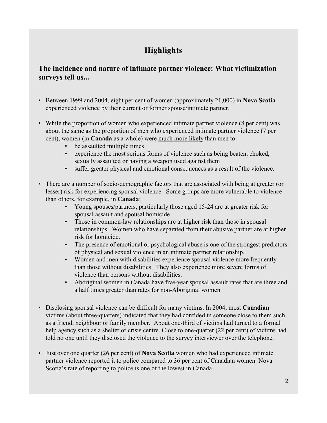## **Highlights**

## **The incidence and nature of intimate partner violence: What victimization surveys tell us...**

- Between 1999 and 2004, eight per cent of women (approximately 21,000) in **Nova Scotia** experienced violence by their current or former spouse/intimate partner.
- While the proportion of women who experienced intimate partner violence (8 per cent) was about the same as the proportion of men who experienced intimate partner violence (7 per cent), women (in **Canada** as a whole) were much more likely than men to:
	- be assaulted multiple times
	- experience the most serious forms of violence such as being beaten, choked, sexually assaulted or having a weapon used against them
	- suffer greater physical and emotional consequences as a result of the violence.
- There are a number of socio-demographic factors that are associated with being at greater (or lesser) risk for experiencing spousal violence. Some groups are more vulnerable to violence than others, for example, in **Canada**:
	- Young spouses/partners, particularly those aged 15-24 are at greater risk for spousal assault and spousal homicide.
	- Those in common-law relationships are at higher risk than those in spousal relationships. Women who have separated from their abusive partner are at higher risk for homicide.
	- The presence of emotional or psychological abuse is one of the strongest predictors of physical and sexual violence in an intimate partner relationship.
	- Women and men with disabilities experience spousal violence more frequently than those without disabilities. They also experience more severe forms of violence than persons without disabilities.
	- Aboriginal women in Canada have five-year spousal assault rates that are three and a half times greater than rates for non-Aboriginal women.
- Disclosing spousal violence can be difficult for many victims. In 2004, most **Canadian** victims (about three-quarters) indicated that they had confided in someone close to them such as a friend, neighbour or family member. About one-third of victims had turned to a formal help agency such as a shelter or crisis centre. Close to one-quarter (22 per cent) of victims had told no one until they disclosed the violence to the survey interviewer over the telephone.
- Just over one quarter (26 per cent) of **Nova Scotia** women who had experienced intimate partner violence reported it to police compared to 36 per cent of Canadian women. Nova Scotia's rate of reporting to police is one of the lowest in Canada.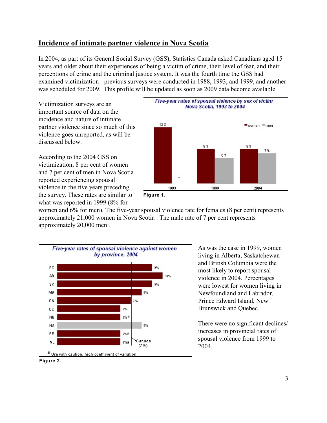### **Incidence of intimate partner violence in Nova Scotia**

In 2004, as part of its General Social Survey (GSS), Statistics Canada asked Canadians aged 15 years and older about their experiences of being a victim of crime, their level of fear, and their perceptions of crime and the criminal justice system. It was the fourth time the GSS had examined victimization - previous surveys were conducted in 1988, 1993, and 1999, and another was scheduled for 2009. This profile will be updated as soon as 2009 data become available.

Victimization surveys are an important source of data on the incidence and nature of intimate partner violence since so much of this violence goes unreported, as will be discussed below.

According to the 2004 GSS on victimization, 8 per cent of women and 7 per cent of men in Nova Scotia reported experiencing spousal violence in the five years preceding the survey. These rates are similar to what was reported in 1999 (8% for





women and 6% for men). The five-year spousal violence rate for females (8 per cent) represents approximately 21,000 women in Nova Scotia . The male rate of 7 per cent represents approximately  $20,000$  men<sup>1</sup>.



As was the case in 1999, women living in Alberta, Saskatchewan and British Columbia were the most likely to report spousal violence in 2004. Percentages were lowest for women living in Newfoundland and Labrador, Prince Edward Island, New Brunswick and Quebec.

There were no significant declines/ increases in provincial rates of spousal violence from 1999 to 2004.

**Figure 2.**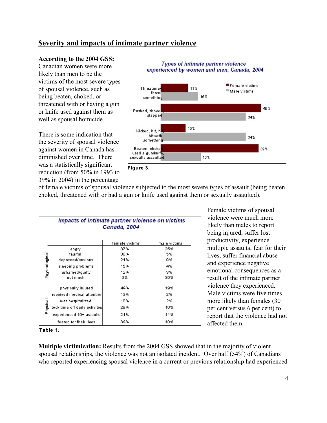### **Severity and impacts of intimate partner violence**

#### **According to the 2004 GSS:**

Canadian women were more likely than men to be the victims of the most severe types of spousal violence, such as being beaten, choked, or threatened with or having a gun or knife used against them as well as spousal homicide.

There is some indication that the severity of spousal violence against women in Canada has diminished over time. There was a statistically significant reduction (from 50% in 1993 to 39% in 2004) in the percentage



of female victims of spousal violence subjected to the most severe types of assault (being beaten, choked, threatened with or had a gun or knife used against them or sexually assaulted).

|               | Impacts of intimate partner violence on victims<br>Canada, 2004 |                |              |  |  |  |  |
|---------------|-----------------------------------------------------------------|----------------|--------------|--|--|--|--|
|               |                                                                 | female victims | male victims |  |  |  |  |
|               | angry                                                           | 37%            | 25%          |  |  |  |  |
| Paychological | fearful                                                         | 30%            | 5%           |  |  |  |  |
|               | depressed/anxious                                               | 21%            | 9%           |  |  |  |  |
|               | sleeping problems                                               | 15%            | 4%           |  |  |  |  |
|               | ashamed/guilty                                                  | 12%            | 3%           |  |  |  |  |
|               | not much                                                        | 6%             | 30%          |  |  |  |  |
|               | physically injured                                              | 44%            | 19%          |  |  |  |  |
|               | received medical attention                                      | 13%            | 2%           |  |  |  |  |
|               | was hospitalized                                                | 10%            | 2%           |  |  |  |  |
| Physical      | took time off daily activitie\$                                 | 29%            | 10%          |  |  |  |  |
|               | experienced 10+ assaults                                        | 21%            | 11%          |  |  |  |  |
|               | feared for their lives                                          | 34%            | 10%          |  |  |  |  |

Female victims of spousal violence were much more likely than males to report being injured, suffer lost productivity, experience multiple assaults, fear for their lives, suffer financial abuse and experience negative emotional consequences as a result of the intimate partner violence they experienced. Male victims were five times more likely than females (30 per cent versus 6 per cent) to report that the violence had not affected them.

**Table 1.**

**Multiple victimization:** Results from the 2004 GSS showed that in the majority of violent spousal relationships, the violence was not an isolated incident. Over half (54%) of Canadians who reported experiencing spousal violence in a current or previous relationship had experienced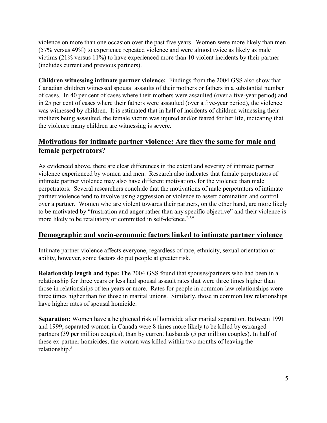violence on more than one occasion over the past five years. Women were more likely than men (57% versus 49%) to experience repeated violence and were almost twice as likely as male victims (21% versus 11%) to have experienced more than 10 violent incidents by their partner (includes current and previous partners).

**Children witnessing intimate partner violence:** Findings from the 2004 GSS also show that Canadian children witnessed spousal assaults of their mothers or fathers in a substantial number of cases. In 40 per cent of cases where their mothers were assaulted (over a five-year period) and in 25 per cent of cases where their fathers were assaulted (over a five-year period), the violence was witnessed by children. It is estimated that in half of incidents of children witnessing their mothers being assaulted, the female victim was injured and/or feared for her life, indicating that the violence many children are witnessing is severe.

## **Motivations for intimate partner violence: Are they the same for male and female perpetrators?**

As evidenced above, there are clear differences in the extent and severity of intimate partner violence experienced by women and men. Research also indicates that female perpetrators of intimate partner violence may also have different motivations for the violence than male perpetrators. Several researchers conclude that the motivations of male perpetrators of intimate partner violence tend to involve using aggression or violence to assert domination and control over a partner. Women who are violent towards their partners, on the other hand, are more likely to be motivated by "frustration and anger rather than any specific objective" and their violence is more likely to be retaliatory or committed in self-defence.<sup>2,3,4</sup>

### **Demographic and socio-economic factors linked to intimate partner violence**

Intimate partner violence affects everyone, regardless of race, ethnicity, sexual orientation or ability, however, some factors do put people at greater risk.

**Relationship length and type:** The 2004 GSS found that spouses/partners who had been in a relationship for three years or less had spousal assault rates that were three times higher than those in relationships of ten years or more. Rates for people in common-law relationships were three times higher than for those in marital unions. Similarly, those in common law relationships have higher rates of spousal homicide.

**Separation:** Women have a heightened risk of homicide after marital separation. Between 1991 and 1999, separated women in Canada were 8 times more likely to be killed by estranged partners (39 per million couples), than by current husbands (5 per million couples). In half of these ex-partner homicides, the woman was killed within two months of leaving the relationship.<sup>5</sup>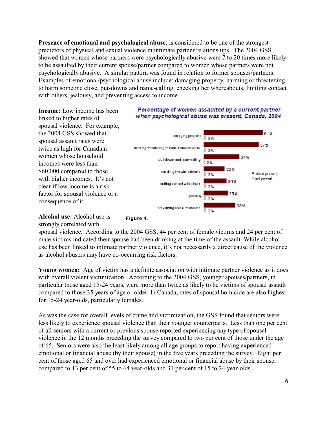**Presence of emotional and psychological abuse**: is considered to be one of the strongest predictors of physical and sexual violence in intimate partner relationships. The 2004 GSS showed that women whose partners were psychologically abusive were 7 to 20 times more likely to be assaulted by their current spouse/partner compared to women whose partners were not psychologically abusive. A similar pattern was found in relation to former spouses/partners. Examples of emotional/psychological abuse include: damaging property, harming or threatening to harm someone close, put-downs and name-calling, checking her whereabouts, limiting contact with others, jealousy, and preventing access to income.

**Income:** Low income has been linked to higher rates of spousal violence. For example, the 2004 GSS showed that spousal assault rates were twice as high for Canadian women whose household incomes were less than \$60,000 compared to those with higher incomes. It's not clear if low income is a risk factor for spousal violence or a consequence of it.



#### **Alcohol use:** Alcohol use is strongly correlated with



spousal violence. According to the 2004 GSS, 44 per cent of female victims and 24 per cent of male victims indicated their spouse had been drinking at the time of the assault. While alcohol use has been linked to intimate partner violence, it's not necessarily a direct cause of the violence as alcohol abusers may have co-occurring risk factors.

**Young women:** Age of victim has a definite association with intimate partner violence as it does with overall violent victimization. According to the 2004 GSS, younger spouses/partners, in particular those aged 15-24 years, were more than twice as likely to be victims of spousal assault compared to those 35 years of age or older. In Canada, rates of spousal homicide are also highest for 15-24 year-olds, particularly females.

As was the case for overall levels of crime and victimization, the GSS found that seniors were less likely to experience spousal violence than their younger counterparts. Less than one per cent of all seniors with a current or previous spouse reported experiencing any type of spousal violence in the 12 months preceding the survey compared to two per cent of those under the age of 65. Seniors were also the least likely among all age groups to report having experienced emotional or financial abuse (by their spouse) in the five years preceding the survey. Eight per cent of those aged 65 and over had experienced emotional or financial abuse by their spouse, compared to 13 per cent of 55 to 64 year-olds and 31 per cent of 15 to 24 year-olds.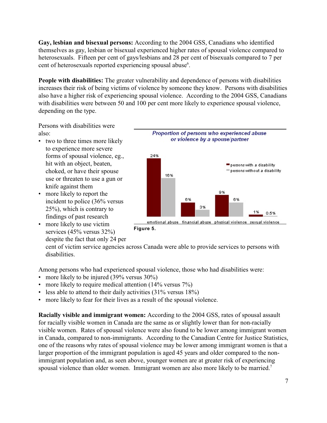**Gay, lesbian and bisexual persons:** According to the 2004 GSS, Canadians who identified themselves as gay, lesbian or bisexual experienced higher rates of spousal violence compared to heterosexuals. Fifteen per cent of gays/lesbians and 28 per cent of bisexuals compared to 7 per cent of heterosexuals reported experiencing spousal abuse<sup>6</sup>.

**People with disabilities:** The greater vulnerability and dependence of persons with disabilities increases their risk of being victims of violence by someone they know. Persons with disabilities also have a higher risk of experiencing spousal violence. According to the 2004 GSS, Canadians with disabilities were between 50 and 100 per cent more likely to experience spousal violence, depending on the type.

Persons with disabilities were also:

- two to three times more likely to experience more severe forms of spousal violence, eg., hit with an object, beaten, choked, or have their spouse use or threaten to use a gun or knife against them
- more likely to report the incident to police (36% versus 25%), which is contrary to findings of past research
- more likely to use victim services (45% versus 32%) despite the fact that only 24 per



cent of victim service agencies across Canada were able to provide services to persons with disabilities.

Among persons who had experienced spousal violence, those who had disabilities were:

- more likely to be injured (39% versus 30%)
- more likely to require medical attention (14% versus 7%)
- less able to attend to their daily activities  $(31\% \text{ versus } 18\%)$
- more likely to fear for their lives as a result of the spousal violence.

**Racially visible and immigrant women:** According to the 2004 GSS, rates of spousal assault for racially visible women in Canada are the same as or slightly lower than for non-racially visible women. Rates of spousal violence were also found to be lower among immigrant women in Canada, compared to non-immigrants. According to the Canadian Centre for Justice Statistics, one of the reasons why rates of spousal violence may be lower among immigrant women is that a larger proportion of the immigrant population is aged 45 years and older compared to the nonimmigrant population and, as seen above, younger women are at greater risk of experiencing spousal violence than older women. Immigrant women are also more likely to be married.<sup>7</sup>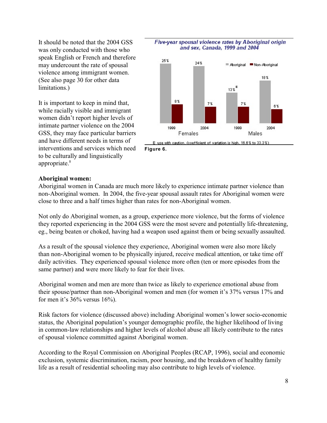It should be noted that the 2004 GSS was only conducted with those who speak English or French and therefore may undercount the rate of spousal violence among immigrant women. (See also page 30 for other data limitations.)

It is important to keep in mind that, while racially visible and immigrant women didn't report higher levels of intimate partner violence on the 2004 GSS, they may face particular barriers and have different needs in terms of interventions and services which need to be culturally and linguistically appropriate.<sup>8</sup>



#### Five-year spousal violence rates by Aboriginal origin and sex, Canada, 1999 and 2004

#### **Aboriginal women:**

Aboriginal women in Canada are much more likely to experience intimate partner violence than non-Aboriginal women. In 2004, the five-year spousal assault rates for Aboriginal women were close to three and a half times higher than rates for non-Aboriginal women.

Not only do Aboriginal women, as a group, experience more violence, but the forms of violence they reported experiencing in the 2004 GSS were the most severe and potentially life-threatening, eg., being beaten or choked, having had a weapon used against them or being sexually assaulted.

As a result of the spousal violence they experience, Aboriginal women were also more likely than non-Aboriginal women to be physically injured, receive medical attention, or take time off daily activities. They experienced spousal violence more often (ten or more episodes from the same partner) and were more likely to fear for their lives.

Aboriginal women and men are more than twice as likely to experience emotional abuse from their spouse/partner than non-Aboriginal women and men (for women it's 37% versus 17% and for men it's 36% versus 16%).

Risk factors for violence (discussed above) including Aboriginal women's lower socio-economic status, the Aboriginal population's younger demographic profile, the higher likelihood of living in common-law relationships and higher levels of alcohol abuse all likely contribute to the rates of spousal violence committed against Aboriginal women.

According to the Royal Commission on Aboriginal Peoples (RCAP, 1996), social and economic exclusion, systemic discrimination, racism, poor housing, and the breakdown of healthy family life as a result of residential schooling may also contribute to high levels of violence.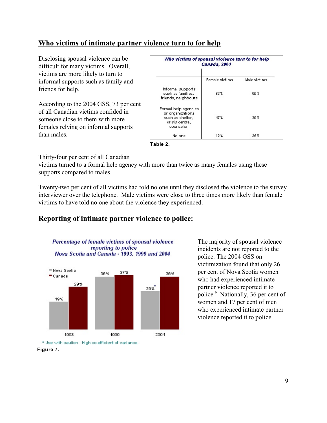## **Who victims of intimate partner violence turn to for help**

Disclosing spousal violence can be difficult for many victims. Overall, victims are more likely to turn to informal supports such as family and friends for help.

According to the 2004 GSS, 73 per cent of all Canadian victims confided in someone close to them with more females relying on informal supports than males.

| Who victims of spousal violence turn to for help                                            | Canada, 2004   |              |
|---------------------------------------------------------------------------------------------|----------------|--------------|
|                                                                                             | Female victims | Male victims |
| Informal supports<br>such as families,<br>friends, neighbours                               | 83 X           | 60 X         |
| Formal help agencies<br>or organizations<br>such as shelter.<br>crisis centre.<br>counselor | 47%            | 20%          |
| No one                                                                                      | 12%            | 35 X         |

**Table 2.**

Thirty-four per cent of all Canadian

victims turned to a formal help agency with more than twice as many females using these supports compared to males.

Twenty-two per cent of all victims had told no one until they disclosed the violence to the survey interviewer over the telephone. Male victims were close to three times more likely than female victims to have told no one about the violence they experienced.

## **Reporting of intimate partner violence to police:**



The majority of spousal violence incidents are not reported to the police. The 2004 GSS on victimization found that only 26 per cent of Nova Scotia women who had experienced intimate partner violence reported it to police. $9$  Nationally, 36 per cent of women and 17 per cent of men who experienced intimate partner violence reported it to police.

**Figure 7.**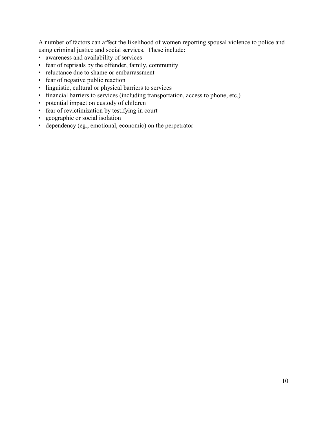A number of factors can affect the likelihood of women reporting spousal violence to police and using criminal justice and social services. These include:

- awareness and availability of services
- fear of reprisals by the offender, family, community
- reluctance due to shame or embarrassment
- fear of negative public reaction
- linguistic, cultural or physical barriers to services
- financial barriers to services (including transportation, access to phone, etc.)
- potential impact on custody of children
- fear of revictimization by testifying in court
- geographic or social isolation
- dependency (eg., emotional, economic) on the perpetrator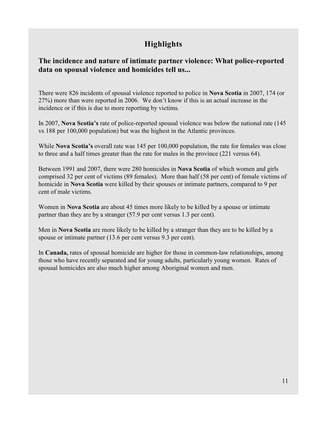## **Highlights**

**The incidence and nature of intimate partner violence: What police-reported data on spousal violence and homicides tell us...**

There were 826 incidents of spousal violence reported to police in **Nova Scotia** in 2007, 174 (or 27%) more than were reported in 2006. We don't know if this is an actual increase in the incidence or if this is due to more reporting by victims.

In 2007, **Nova Scotia's** rate of police-reported spousal violence was below the national rate (145 vs 188 per 100,000 population) but was the highest in the Atlantic provinces.

While **Nova Scotia's** overall rate was 145 per 100,000 population, the rate for females was close to three and a half times greater than the rate for males in the province (221 versus 64).

Between 1991 and 2007, there were 280 homicides in **Nova Scotia** of which women and girls comprised 32 per cent of victims (89 females). More than half (58 per cent) of female victims of homicide in **Nova Scotia** were killed by their spouses or intimate partners, compared to 9 per cent of male victims.

Women in **Nova Scotia** are about 45 times more likely to be killed by a spouse or intimate partner than they are by a stranger (57.9 per cent versus 1.3 per cent).

Men in **Nova Scotia** are more likely to be killed by a stranger than they are to be killed by a spouse or intimate partner (13.6 per cent versus 9.3 per cent).

In **Canada,** rates of spousal homicide are higher for those in common-law relationships, among those who have recently separated and for young adults, particularly young women. Rates of spousal homicides are also much higher among Aboriginal women and men.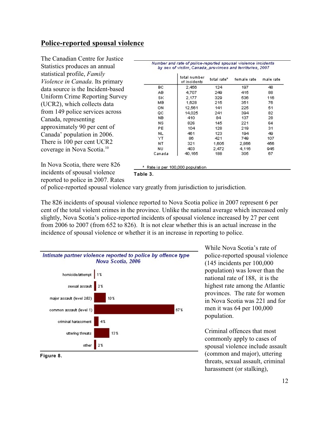## **Police-reported spousal violence**

| The Canadian Centre for Justice        |                                                                                                                            |                                   |                         |             |           |  |
|----------------------------------------|----------------------------------------------------------------------------------------------------------------------------|-----------------------------------|-------------------------|-------------|-----------|--|
| Statistics produces an annual          | Number and rate of police-reported spousal violence incidents<br>by sex of victim, Canada, provinces and territories, 2007 |                                   |                         |             |           |  |
| statistical profile, Family            |                                                                                                                            | total number                      | total rate <sup>x</sup> | female rate | male rate |  |
| Violence in Canada. Its primary        |                                                                                                                            | of incidents                      |                         |             |           |  |
| data source is the Incident-based      | BC.                                                                                                                        | 2,456                             | 124                     | 197         | 48.       |  |
| Uniform Crime Reporting Survey         | AB.<br>SK                                                                                                                  | 4.707<br>2.177                    | 249<br>329              | 415<br>536  | 88<br>116 |  |
| (UCR2), which collects data            | MВ                                                                                                                         | 1,628                             | 215                     | 351         | 76        |  |
|                                        | ON                                                                                                                         | 12,561                            | 141                     | 225         | 51        |  |
| from 149 police services across        | QC                                                                                                                         | 14,025                            | 241                     | 394         | 82        |  |
| Canada, representing                   | NB                                                                                                                         | 410                               | 84                      | 137         | 28        |  |
|                                        | NS.                                                                                                                        | 826                               | 145                     | 221         | 64        |  |
| approximately 90 per cent of           | PE                                                                                                                         | 104                               | 128                     | 219         | 31        |  |
| Canada' population in 2006.            | NL                                                                                                                         | 461                               | 123                     | 194         | 49        |  |
|                                        | YΤ                                                                                                                         | 86                                | 421                     | 749         | 107       |  |
| There is 100 per cent UCR2             | NT                                                                                                                         | 321                               | 1,605                   | 2,866       | 456       |  |
| coverage in Nova Scotia. <sup>10</sup> | NU.                                                                                                                        | 403                               | 2.472                   | 4.116       | 945       |  |
|                                        | Canada                                                                                                                     | 40,165                            | 188                     | 305         | 67        |  |
| In Nova Scotia, there were 826         |                                                                                                                            | * Rate is per 100,000 population. |                         |             |           |  |

incidents of spousal violence reported to police in 2007. Rates

**Table 3.**

of police-reported spousal violence vary greatly from jurisdiction to jurisdiction.

The 826 incidents of spousal violence reported to Nova Scotia police in 2007 represent 6 per cent of the total violent crimes in the province. Unlike the national average which increased only slightly, Nova Scotia's police-reported incidents of spousal violence increased by 27 per cent from 2006 to 2007 (from 652 to 826). It is not clear whether this is an actual increase in the incidence of spousal violence or whether it is an increase in reporting to police.



While Nova Scotia's rate of police-reported spousal violence (145 incidents per 100,000 population) was lower than the national rate of 188, it is the highest rate among the Atlantic provinces. The rate for women in Nova Scotia was 221 and for men it was 64 per 100,000 population.

Criminal offences that most commonly apply to cases of spousal violence include assault (common and major), uttering threats, sexual assault, criminal harassment (or stalking),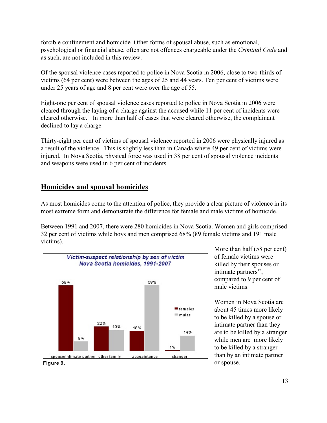forcible confinement and homicide. Other forms of spousal abuse, such as emotional, psychological or financial abuse, often are not offences chargeable under the *Criminal Code* and as such, are not included in this review.

Of the spousal violence cases reported to police in Nova Scotia in 2006, close to two-thirds of victims (64 per cent) were between the ages of 25 and 44 years. Ten per cent of victims were under 25 years of age and 8 per cent were over the age of 55.

Eight-one per cent of spousal violence cases reported to police in Nova Scotia in 2006 were cleared through the laying of a charge against the accused while 11 per cent of incidents were cleared otherwise.<sup>11</sup> In more than half of cases that were cleared otherwise, the complainant declined to lay a charge.

Thirty-eight per cent of victims of spousal violence reported in 2006 were physically injured as a result of the violence. This is slightly less than in Canada where 49 per cent of victims were injured. In Nova Scotia, physical force was used in 38 per cent of spousal violence incidents and weapons were used in 6 per cent of incidents.

## **Homicides and spousal homicides**

As most homicides come to the attention of police, they provide a clear picture of violence in its most extreme form and demonstrate the difference for female and male victims of homicide.

Between 1991 and 2007, there were 280 homicides in Nova Scotia. Women and girls comprised 32 per cent of victims while boys and men comprised 68% (89 female victims and 191 male victims).



More than half (58 per cent) of female victims were killed by their spouses or intimate partners<sup>12</sup>, compared to 9 per cent of male victims.

Women in Nova Scotia are about 45 times more likely to be killed by a spouse or intimate partner than they are to be killed by a stranger while men are more likely to be killed by a stranger than by an intimate partner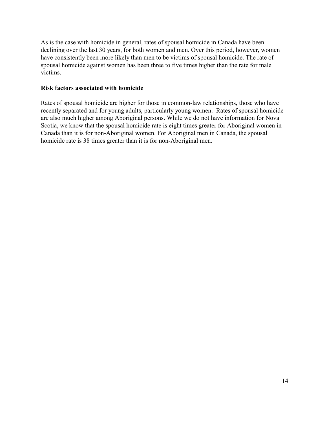As is the case with homicide in general, rates of spousal homicide in Canada have been declining over the last 30 years, for both women and men. Over this period, however, women have consistently been more likely than men to be victims of spousal homicide. The rate of spousal homicide against women has been three to five times higher than the rate for male victims.

#### **Risk factors associated with homicide**

Rates of spousal homicide are higher for those in common-law relationships, those who have recently separated and for young adults, particularly young women. Rates of spousal homicide are also much higher among Aboriginal persons. While we do not have information for Nova Scotia, we know that the spousal homicide rate is eight times greater for Aboriginal women in Canada than it is for non-Aboriginal women. For Aboriginal men in Canada, the spousal homicide rate is 38 times greater than it is for non-Aboriginal men.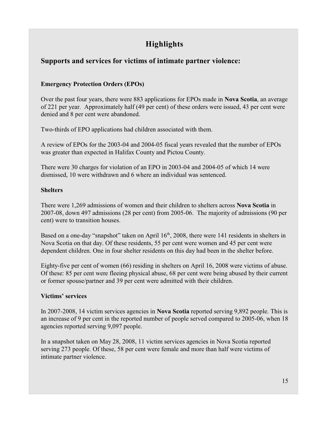## **Highlights**

## **Supports and services for victims of intimate partner violence:**

#### **Emergency Protection Orders (EPOs)**

Over the past four years, there were 883 applications for EPOs made in **Nova Scotia**, an average of 221 per year. Approximately half (49 per cent) of these orders were issued, 43 per cent were denied and 8 per cent were abandoned.

Two-thirds of EPO applications had children associated with them.

A review of EPOs for the 2003-04 and 2004-05 fiscal years revealed that the number of EPOs was greater than expected in Halifax County and Pictou County.

There were 30 charges for violation of an EPO in 2003-04 and 2004-05 of which 14 were dismissed, 10 were withdrawn and 6 where an individual was sentenced.

#### **Shelters**

There were 1,269 admissions of women and their children to shelters across **Nova Scotia** in 2007-08, down 497 admissions (28 per cent) from 2005-06. The majority of admissions (90 per cent) were to transition houses.

Based on a one-day "snapshot" taken on April 16<sup>th</sup>, 2008, there were 141 residents in shelters in Nova Scotia on that day. Of these residents, 55 per cent were women and 45 per cent were dependent children. One in four shelter residents on this day had been in the shelter before.

Eighty-five per cent of women (66) residing in shelters on April 16, 2008 were victims of abuse. Of these: 85 per cent were fleeing physical abuse, 68 per cent were being abused by their current or former spouse/partner and 39 per cent were admitted with their children.

#### **Victims' services**

In 2007-2008, 14 victim services agencies in **Nova Scotia** reported serving 9,892 people. This is an increase of 9 per cent in the reported number of people served compared to 2005-06, when 18 agencies reported serving 9,097 people.

In a snapshot taken on May 28, 2008, 11 victim services agencies in Nova Scotia reported serving 273 people. Of these, 58 per cent were female and more than half were victims of intimate partner violence.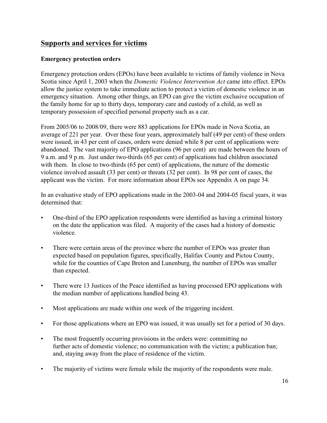## **Supports and services for victims**

#### **Emergency protection orders**

Emergency protection orders (EPOs) have been available to victims of family violence in Nova Scotia since April 1, 2003 when the *Domestic Violence Intervention Act* came into effect. EPOs allow the justice system to take immediate action to protect a victim of domestic violence in an emergency situation. Among other things, an EPO can give the victim exclusive occupation of the family home for up to thirty days, temporary care and custody of a child, as well as temporary possession of specified personal property such as a car.

From 2005/06 to 2008/09, there were 883 applications for EPOs made in Nova Scotia, an average of 221 per year. Over these four years, approximately half (49 per cent) of these orders were issued, in 43 per cent of cases, orders were denied while 8 per cent of applications were abandoned. The vast majority of EPO applications (96 per cent) are made between the hours of 9 a.m. and 9 p.m. Just under two-thirds (65 per cent) of applications had children associated with them. In close to two-thirds (65 per cent) of applications, the nature of the domestic violence involved assault (33 per cent) or threats (32 per cent). In 98 per cent of cases, the applicant was the victim. For more information about EPOs see Appendix A on page 34.

In an evaluative study of EPO applications made in the 2003-04 and 2004-05 fiscal years, it was determined that:

- One-third of the EPO application respondents were identified as having a criminal history on the date the application was filed. A majority of the cases had a history of domestic violence.
- There were certain areas of the province where the number of EPOs was greater than expected based on population figures, specifically, Halifax County and Pictou County, while for the counties of Cape Breton and Lunenburg, the number of EPOs was smaller than expected.
- There were 13 Justices of the Peace identified as having processed EPO applications with the median number of applications handled being 43.
- Most applications are made within one week of the triggering incident.
- For those applications where an EPO was issued, it was usually set for a period of 30 days.
- The most frequently occurring provisions in the orders were: committing no further acts of domestic violence; no communication with the victim; a publication ban; and, staying away from the place of residence of the victim.
- The majority of victims were female while the majority of the respondents were male.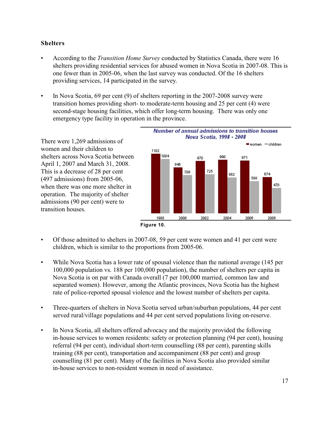#### **Shelters**

- According to the *Transition Home Survey* conducted by Statistics Canada, there were 16 shelters providing residential services for abused women in Nova Scotia in 2007-08. This is one fewer than in 2005-06, when the last survey was conducted. Of the 16 shelters providing services, 14 participated in the survey.
- In Nova Scotia, 69 per cent (9) of shelters reporting in the 2007-2008 survey were transition homes providing short- to moderate-term housing and 25 per cent (4) were second-stage housing facilities, which offer long-term housing. There was only one emergency type facility in operation in the province.

There were 1,269 admissions of women and their children to shelters across Nova Scotia between April 1, 2007 and March 31, 2008. This is a decrease of 28 per cent (497 admissions) from 2005-06, when there was one more shelter in operation. The majority of shelter admissions (90 per cent) were to transition houses.





- Of those admitted to shelters in 2007-08, 59 per cent were women and 41 per cent were children, which is similar to the proportions from 2005-06.
- While Nova Scotia has a lower rate of spousal violence than the national average (145 per 100,000 population vs. 188 per 100,000 population), the number of shelters per capita in Nova Scotia is on par with Canada overall (7 per 100,000 married, common law and separated women). However, among the Atlantic provinces, Nova Scotia has the highest rate of police-reported spousal violence and the lowest number of shelters per capita.
- Three-quarters of shelters in Nova Scotia served urban/suburban populations, 44 per cent served rural/village populations and 44 per cent served populations living on-reserve.
- In Nova Scotia, all shelters offered advocacy and the majority provided the following in-house services to women residents: safety or protection planning (94 per cent), housing referral (94 per cent), individual short-term counselling (88 per cent), parenting skills training (88 per cent), transportation and accompaniment (88 per cent) and group counselling (81 per cent). Many of the facilities in Nova Scotia also provided similar in-house services to non-resident women in need of assistance.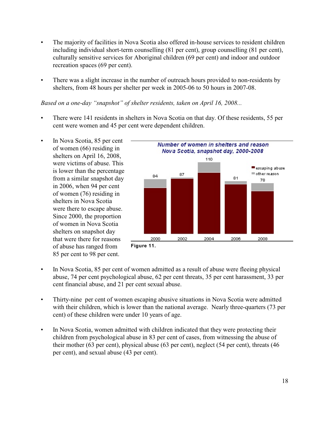- The majority of facilities in Nova Scotia also offered in-house services to resident children including individual short-term counselling (81 per cent), group counselling (81 per cent), culturally sensitive services for Aboriginal children (69 per cent) and indoor and outdoor recreation spaces (69 per cent).
- There was a slight increase in the number of outreach hours provided to non-residents by shelters, from 48 hours per shelter per week in 2005-06 to 50 hours in 2007-08.

#### *Based on a one-day "snapshot" of shelter residents, taken on April 16, 2008...*

- There were 141 residents in shelters in Nova Scotia on that day. Of these residents, 55 per cent were women and 45 per cent were dependent children.
- In Nova Scotia, 85 per cent of women (66) residing in shelters on April 16, 2008, were victims of abuse. This is lower than the percentage from a similar snapshot day in 2006, when 94 per cent of women (76) residing in shelters in Nova Scotia were there to escape abuse. Since 2000, the proportion of women in Nova Scotia shelters on snapshot day that were there for reasons of abuse has ranged from 85 per cent to 98 per cent.



- In Nova Scotia, 85 per cent of women admitted as a result of abuse were fleeing physical abuse, 74 per cent psychological abuse, 62 per cent threats, 35 per cent harassment, 33 per cent financial abuse, and 21 per cent sexual abuse.
- Thirty-nine per cent of women escaping abusive situations in Nova Scotia were admitted with their children, which is lower than the national average. Nearly three-quarters (73 per cent) of these children were under 10 years of age.
- In Nova Scotia, women admitted with children indicated that they were protecting their children from psychological abuse in 83 per cent of cases, from witnessing the abuse of their mother (63 per cent), physical abuse (63 per cent), neglect (54 per cent), threats (46 per cent), and sexual abuse (43 per cent).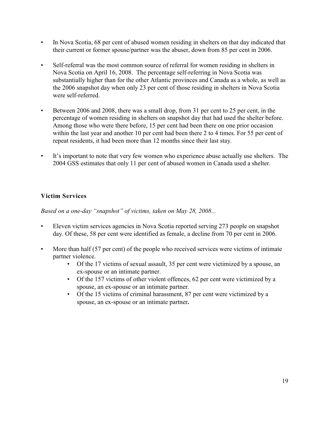- In Nova Scotia, 68 per cent of abused women residing in shelters on that day indicated that their current or former spouse/partner was the abuser, down from 85 per cent in 2006.
- Self-referral was the most common source of referral for women residing in shelters in Nova Scotia on April 16, 2008. The percentage self-referring in Nova Scotia was substantially higher than for the other Atlantic provinces and Canada as a whole, as well as the 2006 snapshot day when only 23 per cent of those residing in shelters in Nova Scotia were self-referred.
- Between 2006 and 2008, there was a small drop, from 31 per cent to 25 per cent, in the percentage of women residing in shelters on snapshot day that had used the shelter before. Among those who were there before, 15 per cent had been there on one prior occasion within the last year and another 10 per cent had been there 2 to 4 times. For 55 per cent of repeat residents, it had been more than 12 months since their last stay.
- It's important to note that very few women who experience abuse actually use shelters. The 2004 GSS estimates that only 11 per cent of abused women in Canada used a shelter.

### **Victim Services**

*Based on a one-day "snapshot" of victims, taken on May 28, 2008...*

- Eleven victim services agencies in Nova Scotia reported serving 273 people on snapshot day. Of these, 58 per cent were identified as female, a decline from 70 per cent in 2006.
- More than half (57 per cent) of the people who received services were victims of intimate partner violence.
	- Of the 17 victims of sexual assault, 35 per cent were victimized by a spouse, an ex-spouse or an intimate partner.
	- Of the 157 victims of other violent offences, 62 per cent were victimized by a spouse, an ex-spouse or an intimate partner.
	- Of the 15 victims of criminal harassment, 87 per cent were victimized by a spouse, an ex-spouse or an intimate partner**.**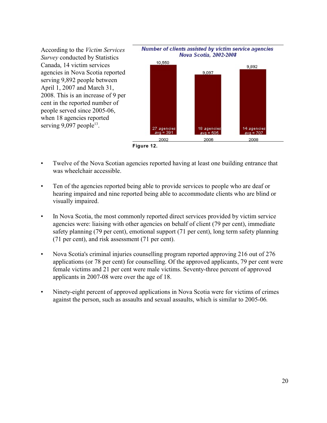



- Twelve of the Nova Scotian agencies reported having at least one building entrance that was wheelchair accessible.
- Ten of the agencies reported being able to provide services to people who are deaf or hearing impaired and nine reported being able to accommodate clients who are blind or visually impaired.
- In Nova Scotia, the most commonly reported direct services provided by victim service agencies were: liaising with other agencies on behalf of client (79 per cent), immediate safety planning (79 per cent), emotional support (71 per cent), long term safety planning (71 per cent), and risk assessment (71 per cent).
- Nova Scotia's criminal injuries counselling program reported approving 216 out of 276 applications (or 78 per cent) for counselling. Of the approved applicants, 79 per cent were female victims and 21 per cent were male victims. Seventy-three percent of approved applicants in 2007-08 were over the age of 18.
- Ninety-eight percent of approved applications in Nova Scotia were for victims of crimes against the person, such as assaults and sexual assaults, which is similar to 2005-06*.*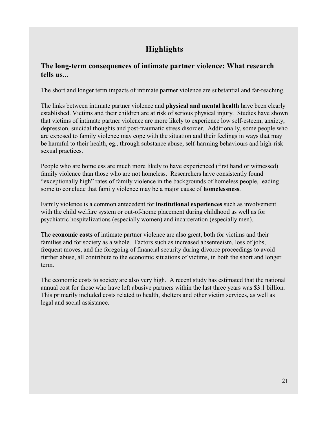## **Highlights**

## **The long-term consequences of intimate partner violence: What research tells us...**

The short and longer term impacts of intimate partner violence are substantial and far-reaching.

The links between intimate partner violence and **physical and mental health** have been clearly established. Victims and their children are at risk of serious physical injury. Studies have shown that victims of intimate partner violence are more likely to experience low self-esteem, anxiety, depression, suicidal thoughts and post-traumatic stress disorder. Additionally, some people who are exposed to family violence may cope with the situation and their feelings in ways that may be harmful to their health, eg., through substance abuse, self-harming behaviours and high-risk sexual practices.

People who are homeless are much more likely to have experienced (first hand or witnessed) family violence than those who are not homeless. Researchers have consistently found "exceptionally high" rates of family violence in the backgrounds of homeless people, leading some to conclude that family violence may be a major cause of **homelessness**.

Family violence is a common antecedent for **institutional experiences** such as involvement with the child welfare system or out-of-home placement during childhood as well as for psychiatric hospitalizations (especially women) and incarceration (especially men).

The **economic costs** of intimate partner violence are also great, both for victims and their families and for society as a whole. Factors such as increased absenteeism, loss of jobs, frequent moves, and the foregoing of financial security during divorce proceedings to avoid further abuse, all contribute to the economic situations of victims, in both the short and longer term.

The economic costs to society are also very high. A recent study has estimated that the national annual cost for those who have left abusive partners within the last three years was \$3.1 billion. This primarily included costs related to health, shelters and other victim services, as well as legal and social assistance.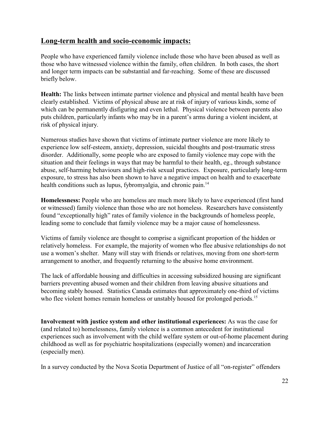## **Long-term health and socio-economic impacts:**

People who have experienced family violence include those who have been abused as well as those who have witnessed violence within the family, often children. In both cases, the short and longer term impacts can be substantial and far-reaching. Some of these are discussed briefly below.

**Health:** The links between intimate partner violence and physical and mental health have been clearly established. Victims of physical abuse are at risk of injury of various kinds, some of which can be permanently disfiguring and even lethal. Physical violence between parents also puts children, particularly infants who may be in a parent's arms during a violent incident, at risk of physical injury.

Numerous studies have shown that victims of intimate partner violence are more likely to experience low self-esteem, anxiety, depression, suicidal thoughts and post-traumatic stress disorder. Additionally, some people who are exposed to family violence may cope with the situation and their feelings in ways that may be harmful to their health, eg., through substance abuse, self-harming behaviours and high-risk sexual practices. Exposure, particularly long-term exposure, to stress has also been shown to have a negative impact on health and to exacerbate health conditions such as lupus, fybromyalgia, and chronic pain.<sup>14</sup>

**Homelessness:** People who are homeless are much more likely to have experienced (first hand or witnessed) family violence than those who are not homeless. Researchers have consistently found "exceptionally high" rates of family violence in the backgrounds of homeless people, leading some to conclude that family violence may be a major cause of homelessness.

Victims of family violence are thought to comprise a significant proportion of the hidden or relatively homeless. For example, the majority of women who flee abusive relationships do not use a women's shelter. Many will stay with friends or relatives, moving from one short-term arrangement to another, and frequently returning to the abusive home environment.

The lack of affordable housing and difficulties in accessing subsidized housing are significant barriers preventing abused women and their children from leaving abusive situations and becoming stably housed. Statistics Canada estimates that approximately one-third of victims who flee violent homes remain homeless or unstably housed for prolonged periods.<sup>15</sup>

**Involvement with justice system and other institutional experiences:** As was the case for (and related to) homelessness, family violence is a common antecedent for institutional experiences such as involvement with the child welfare system or out-of-home placement during childhood as well as for psychiatric hospitalizations (especially women) and incarceration (especially men).

In a survey conducted by the Nova Scotia Department of Justice of all "on-register" offenders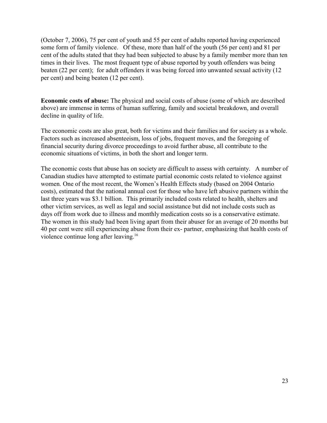(October 7, 2006), 75 per cent of youth and 55 per cent of adults reported having experienced some form of family violence. Of these, more than half of the youth (56 per cent) and 81 per cent of the adults stated that they had been subjected to abuse by a family member more than ten times in their lives. The most frequent type of abuse reported by youth offenders was being beaten (22 per cent); for adult offenders it was being forced into unwanted sexual activity (12 per cent) and being beaten (12 per cent).

**Economic costs of abuse:** The physical and social costs of abuse (some of which are described above) are immense in terms of human suffering, family and societal breakdown, and overall decline in quality of life.

The economic costs are also great, both for victims and their families and for society as a whole. Factors such as increased absenteeism, loss of jobs, frequent moves, and the foregoing of financial security during divorce proceedings to avoid further abuse, all contribute to the economic situations of victims, in both the short and longer term.

The economic costs that abuse has on society are difficult to assess with certainty. A number of Canadian studies have attempted to estimate partial economic costs related to violence against women. One of the most recent, the Women's Health Effects study (based on 2004 Ontario costs), estimated that the national annual cost for those who have left abusive partners within the last three years was \$3.1 billion. This primarily included costs related to health, shelters and other victim services, as well as legal and social assistance but did not include costs such as days off from work due to illness and monthly medication costs so is a conservative estimate. The women in this study had been living apart from their abuser for an average of 20 months but 40 per cent were still experiencing abuse from their ex- partner, emphasizing that health costs of violence continue long after leaving.<sup>16</sup>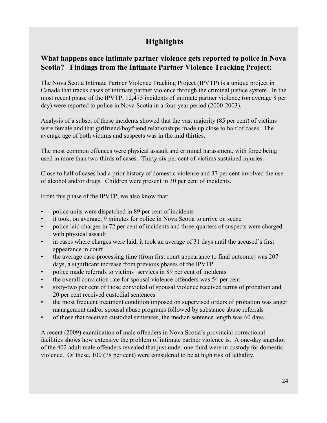## **Highlights**

## **What happens once intimate partner violence gets reported to police in Nova Scotia? Findings from the Intimate Partner Violence Tracking Project:**

The Nova Scotia Intimate Partner Violence Tracking Project (IPVTP) is a unique project in Canada that tracks cases of intimate partner violence through the criminal justice system. In the most recent phase of the IPVTP, 12,475 incidents of intimate partner violence (on average 8 per day) were reported to police in Nova Scotia in a four-year period (2000-2003).

Analysis of a subset of these incidents showed that the vast majority (85 per cent) of victims were female and that girlfriend/boyfriend relationships made up close to half of cases. The average age of both victims and suspects was in the mid thirties.

The most common offences were physical assault and criminal harassment, with force being used in more than two-thirds of cases. Thirty-six per cent of victims sustained injuries.

Close to half of cases had a prior history of domestic violence and 37 per cent involved the use of alcohol and/or drugs. Children were present in 30 per cent of incidents.

From this phase of the IPVTP, we also know that:

- police units were dispatched in 89 per cent of incidents
- it took, on average, 9 minutes for police in Nova Scotia to arrive on scene
- police laid charges in 72 per cent of incidents and three-quarters of suspects were charged with physical assault
- in cases where charges were laid, it took an average of 31 days until the accused's first appearance in court
- the average case-processing time (from first court appearance to final outcome) was 207 days, a significant increase from previous phases of the IPVTP
- police made referrals to victims' services in 89 per cent of incidents
- the overall conviction rate for spousal violence offenders was 54 per cent
- sixty-two per cent of those convicted of spousal violence received terms of probation and 20 per cent received custodial sentences
- the most frequent treatment condition imposed on supervised orders of probation was anger management and/or spousal abuse programs followed by substance abuse referrals
- of those that received custodial sentences, the median sentence length was 60 days.

A recent (2009) examination of male offenders in Nova Scotia's provincial correctional facilities shows how extensive the problem of intimate partner violence is. A one-day snapshot of the 402 adult male offenders revealed that just under one-third were in custody for domestic violence. Of these, 100 (78 per cent) were considered to be at high risk of lethality.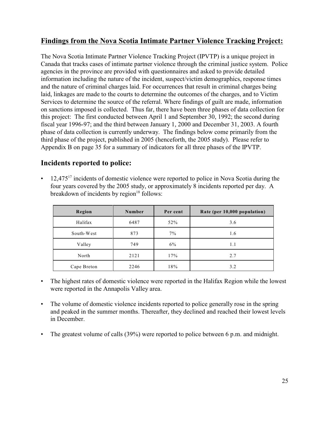## **Findings from the Nova Scotia Intimate Partner Violence Tracking Project:**

The Nova Scotia Intimate Partner Violence Tracking Project (IPVTP) is a unique project in Canada that tracks cases of intimate partner violence through the criminal justice system. Police agencies in the province are provided with questionnaires and asked to provide detailed information including the nature of the incident, suspect/victim demographics, response times and the nature of criminal charges laid. For occurrences that result in criminal charges being laid, linkages are made to the courts to determine the outcomes of the charges, and to Victim Services to determine the source of the referral. Where findings of guilt are made, information on sanctions imposed is collected. Thus far, there have been three phases of data collection for this project: The first conducted between April 1 and September 30, 1992; the second during fiscal year 1996-97; and the third between January 1, 2000 and December 31, 2003. A fourth phase of data collection is currently underway. The findings below come primarily from the third phase of the project, published in 2005 (henceforth, the 2005 study). Please refer to Appendix B on page 35 for a summary of indicators for all three phases of the IPVTP.

### **Incidents reported to police:**

 $\cdot$  12,475<sup>17</sup> incidents of domestic violence were reported to police in Nova Scotia during the four years covered by the 2005 study, or approximately 8 incidents reported per day. A breakdown of incidents by region $18$  follows:

| Region      | Number | Per cent | Rate (per 10,000 population) |
|-------------|--------|----------|------------------------------|
| Halifax     | 6487   | 52%      | 3.6                          |
| South-West  | 873    | $7\%$    | 1.6                          |
| Valley      | 749    | 6%       | 1.1                          |
| North       | 2121   | 17%      | 2.7                          |
| Cape Breton | 2246   | 18%      | 3.2                          |

- The highest rates of domestic violence were reported in the Halifax Region while the lowest were reported in the Annapolis Valley area.
- The volume of domestic violence incidents reported to police generally rose in the spring and peaked in the summer months. Thereafter, they declined and reached their lowest levels in December.
- The greatest volume of calls (39%) were reported to police between 6 p.m. and midnight.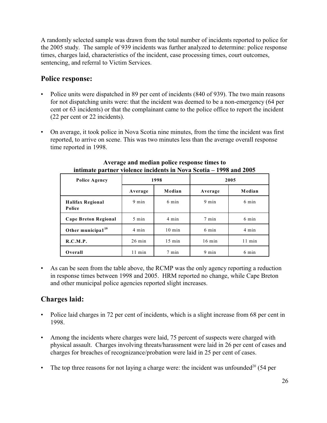A randomly selected sample was drawn from the total number of incidents reported to police for the 2005 study. The sample of 939 incidents was further analyzed to determine: police response times, charges laid, characteristics of the incident, case processing times, court outcomes, sentencing, and referral to Victim Services.

### **Police response:**

- Police units were dispatched in 89 per cent of incidents (840 of 939). The two main reasons for not dispatching units were: that the incident was deemed to be a non-emergency (64 per cent or 63 incidents) or that the complainant came to the police office to report the incident (22 per cent or 22 incidents).
- On average, it took police in Nova Scotia nine minutes, from the time the incident was first reported, to arrive on scene. This was two minutes less than the average overall response time reported in 1998.

| <b>Police Agency</b>              |                  | 1998             | 2005             |                  |  |
|-----------------------------------|------------------|------------------|------------------|------------------|--|
|                                   | Average          | Median           | Average          | Median           |  |
| <b>Halifax Regional</b><br>Police | $9 \text{ min}$  | 6 min            | $9 \text{ min}$  | 6 min            |  |
| <b>Cape Breton Regional</b>       | $5 \text{ min}$  | 4 min            | 7 min            | 6 min            |  |
| Other municipal $119$             | 4 min            | $10 \text{ min}$ | 6 min            | 4 min            |  |
| R.C.M.P.                          | $26 \text{ min}$ | $15 \text{ min}$ | $16 \text{ min}$ | $11 \text{ min}$ |  |
| Overall                           | $11 \text{ min}$ | 7 min            | $9 \text{ min}$  | 6 min            |  |

**Average and median police response times to intimate partner violence incidents in Nova Scotia – 1998 and 2005**

• As can be seen from the table above, the RCMP was the only agency reporting a reduction in response times between 1998 and 2005. HRM reported no change, while Cape Breton and other municipal police agencies reported slight increases.

## **Charges laid:**

- Police laid charges in 72 per cent of incidents, which is a slight increase from 68 per cent in 1998.
- Among the incidents where charges were laid, 75 percent of suspects were charged with physical assault. Charges involving threats/harassment were laid in 26 per cent of cases and charges for breaches of recognizance/probation were laid in 25 per cent of cases.
- The top three reasons for not laying a charge were: the incident was unfounded<sup>20</sup> (54 per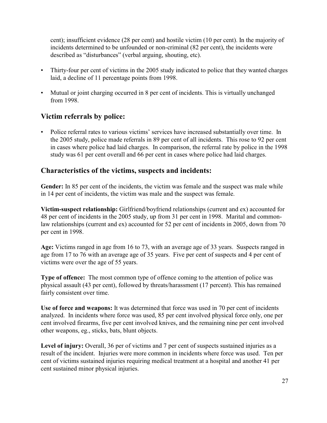cent); insufficient evidence (28 per cent) and hostile victim (10 per cent). In the majority of incidents determined to be unfounded or non-criminal (82 per cent), the incidents were described as "disturbances" (verbal arguing, shouting, etc).

- Thirty-four per cent of victims in the 2005 study indicated to police that they wanted charges laid, a decline of 11 percentage points from 1998.
- Mutual or joint charging occurred in 8 per cent of incidents. This is virtually unchanged from 1998.

## **Victim referrals by police:**

• Police referral rates to various victims' services have increased substantially over time. In the 2005 study, police made referrals in 89 per cent of all incidents. This rose to 92 per cent in cases where police had laid charges. In comparison, the referral rate by police in the 1998 study was 61 per cent overall and 66 per cent in cases where police had laid charges.

### **Characteristics of the victims, suspects and incidents:**

**Gender:** In 85 per cent of the incidents, the victim was female and the suspect was male while in 14 per cent of incidents, the victim was male and the suspect was female.

**Victim-suspect relationship:** Girlfriend/boyfriend relationships (current and ex) accounted for 48 per cent of incidents in the 2005 study, up from 31 per cent in 1998. Marital and commonlaw relationships (current and ex) accounted for 52 per cent of incidents in 2005, down from 70 per cent in 1998.

**Age:** Victims ranged in age from 16 to 73, with an average age of 33 years. Suspects ranged in age from 17 to 76 with an average age of 35 years. Five per cent of suspects and 4 per cent of victims were over the age of 55 years.

**Type of offence:** The most common type of offence coming to the attention of police was physical assault (43 per cent), followed by threats/harassment (17 percent). This has remained fairly consistent over time.

**Use of force and weapons:** It was determined that force was used in 70 per cent of incidents analyzed. In incidents where force was used, 85 per cent involved physical force only, one per cent involved firearms, five per cent involved knives, and the remaining nine per cent involved other weapons, eg., sticks, bats, blunt objects.

**Level of injury:** Overall, 36 per of victims and 7 per cent of suspects sustained injuries as a result of the incident. Injuries were more common in incidents where force was used. Ten per cent of victims sustained injuries requiring medical treatment at a hospital and another 41 per cent sustained minor physical injuries.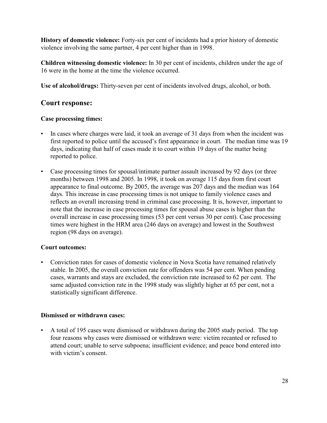**History of domestic violence:** Forty-six per cent of incidents had a prior history of domestic violence involving the same partner, 4 per cent higher than in 1998.

**Children witnessing domestic violence:** In 30 per cent of incidents, children under the age of 16 were in the home at the time the violence occurred.

**Use of alcohol/drugs:** Thirty-seven per cent of incidents involved drugs, alcohol, or both.

### **Court response:**

#### **Case processing times:**

- In cases where charges were laid, it took an average of 31 days from when the incident was first reported to police until the accused's first appearance in court. The median time was 19 days, indicating that half of cases made it to court within 19 days of the matter being reported to police.
- Case processing times for spousal/intimate partner assault increased by 92 days (or three months) between 1998 and 2005. In 1998, it took on average 115 days from first court appearance to final outcome. By 2005, the average was 207 days and the median was 164 days. This increase in case processing times is not unique to family violence cases and reflects an overall increasing trend in criminal case processing. It is, however, important to note that the increase in case processing times for spousal abuse cases is higher than the overall increase in case processing times (53 per cent versus 30 per cent). Case processing times were highest in the HRM area (246 days on average) and lowest in the Southwest region (98 days on average).

#### **Court outcomes:**

• Conviction rates for cases of domestic violence in Nova Scotia have remained relatively stable. In 2005, the overall conviction rate for offenders was 54 per cent. When pending cases, warrants and stays are excluded, the conviction rate increased to 62 per cent. The same adjusted conviction rate in the 1998 study was slightly higher at 65 per cent, not a statistically significant difference.

#### **Dismissed or withdrawn cases:**

• A total of 195 cases were dismissed or withdrawn during the 2005 study period. The top four reasons why cases were dismissed or withdrawn were: victim recanted or refused to attend court; unable to serve subpoena; insufficient evidence; and peace bond entered into with victim's consent.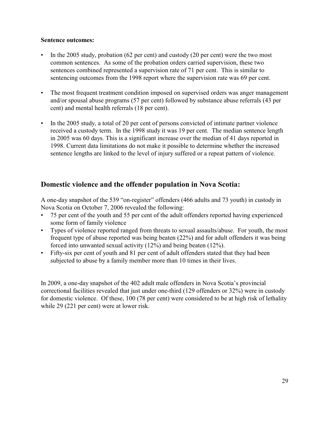#### **Sentence outcomes:**

- In the 2005 study, probation (62 per cent) and custody (20 per cent) were the two most common sentences. As some of the probation orders carried supervision, these two sentences combined represented a supervision rate of 71 per cent. This is similar to sentencing outcomes from the 1998 report where the supervision rate was 69 per cent.
- The most frequent treatment condition imposed on supervised orders was anger management and/or spousal abuse programs (57 per cent) followed by substance abuse referrals (43 per cent) and mental health referrals (18 per cent).
- In the 2005 study, a total of 20 per cent of persons convicted of intimate partner violence received a custody term. In the 1998 study it was 19 per cent. The median sentence length in 2005 was 60 days. This is a significant increase over the median of 41 days reported in 1998. Current data limitations do not make it possible to determine whether the increased sentence lengths are linked to the level of injury suffered or a repeat pattern of violence.

### **Domestic violence and the offender population in Nova Scotia:**

A one-day snapshot of the 539 "on-register" offenders (466 adults and 73 youth) in custody in Nova Scotia on October 7, 2006 revealed the following:

- 75 per cent of the youth and 55 per cent of the adult offenders reported having experienced some form of family violence
- Types of violence reported ranged from threats to sexual assaults/abuse. For youth, the most frequent type of abuse reported was being beaten (22%) and for adult offenders it was being forced into unwanted sexual activity (12%) and being beaten (12%).
- Fifty-six per cent of youth and 81 per cent of adult offenders stated that they had been subjected to abuse by a family member more than 10 times in their lives.

In 2009, a one-day snapshot of the 402 adult male offenders in Nova Scotia's provincial correctional facilities revealed that just under one-third (129 offenders or 32%) were in custody for domestic violence. Of these, 100 (78 per cent) were considered to be at high risk of lethality while 29 (221 per cent) were at lower risk.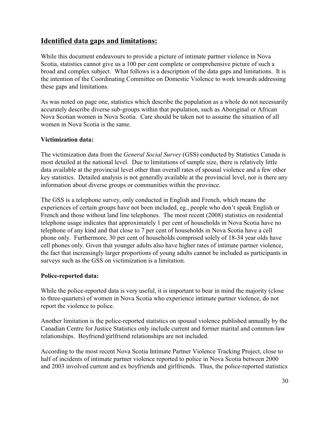## **Identified data gaps and limitations:**

While this document endeavours to provide a picture of intimate partner violence in Nova Scotia, statistics cannot give us a 100 per cent complete or comprehensive picture of such a broad and complex subject. What follows is a description of the data gaps and limitations. It is the intention of the Coordinating Committee on Domestic Violence to work towards addressing these gaps and limitations.

As was noted on page one, statistics which describe the population as a whole do not necessarily accurately describe diverse sub-groups within that population, such as Aboriginal or African Nova Scotian women in Nova Scotia. Care should be taken not to assume the situation of all women in Nova Scotia is the same.

#### **Victimization data:**

The victimization data from the *General Social Survey* (GSS) conducted by Statistics Canada is most detailed at the national level. Due to limitations of sample size, there is relatively little data available at the provincial level other than overall rates of spousal violence and a few other key statistics. Detailed analysis is not generally available at the provincial level, nor is there any information about diverse groups or communities within the province.

The GSS is a telephone survey, only conducted in English and French, which means the experiences of certain groups have not been included, eg., people who don't speak English or French and those without land line telephones. The most recent (2008) statistics on residential telephone usage indicates that approximately 1 per cent of households in Nova Scotia have no telephone of any kind and that close to 7 per cent of households in Nova Scotia have a cell phone only. Furthermore, 30 per cent of households comprised solely of 18-34 year olds have cell phones only. Given that younger adults also have higher rates of intimate partner violence, the fact that increasingly larger proportions of young adults cannot be included as participants in surveys such as the GSS on victimization is a limitation.

#### **Police-reported data:**

While the police-reported data is very useful, it is important to bear in mind the majority (close to three-quarters) of women in Nova Scotia who experience intimate partner violence, do not report the violence to police.

Another limitation is the police-reported statistics on spousal violence published annually by the Canadian Centre for Justice Statistics only include current and former marital and common-law relationships. Boyfriend/girlfriend relationships are not included.

According to the most recent Nova Scotia Intimate Partner Violence Tracking Project, close to half of incidents of intimate partner violence reported to police in Nova Scotia between 2000 and 2003 involved current and ex boyfriends and girlfriends. Thus, the police-reported statistics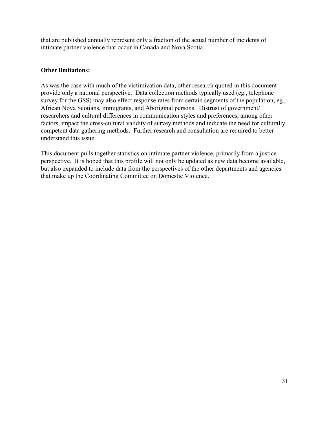that are published annually represent only a fraction of the actual number of incidents of intimate partner violence that occur in Canada and Nova Scotia.

#### **Other limitations:**

As was the case with much of the victimization data, other research quoted in this document provide only a national perspective. Data collection methods typically used (eg., telephone survey for the GSS) may also effect response rates from certain segments of the population, eg., African Nova Scotians, immigrants, and Aboriginal persons. Distrust of government/ researchers and cultural differences in communication styles and preferences, among other factors, impact the cross-cultural validity of survey methods and indicate the need for culturally competent data gathering methods. Further research and consultation are required to better understand this issue.

This document pulls together statistics on intimate partner violence, primarily from a justice perspective. It is hoped that this profile will not only be updated as new data become available, but also expanded to include data from the perspectives of the other departments and agencies that make up the Coordinating Committee on Domestic Violence.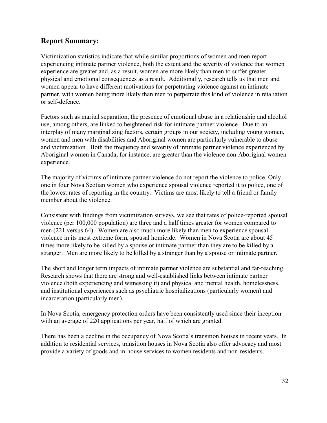## **Report Summary:**

Victimization statistics indicate that while similar proportions of women and men report experiencing intimate partner violence, both the extent and the severity of violence that women experience are greater and, as a result, women are more likely than men to suffer greater physical and emotional consequences as a result. Additionally, research tells us that men and women appear to have different motivations for perpetrating violence against an intimate partner, with women being more likely than men to perpetrate this kind of violence in retaliation or self-defence.

Factors such as marital separation, the presence of emotional abuse in a relationship and alcohol use, among others, are linked to heightened risk for intimate partner violence. Due to an interplay of many marginalizing factors, certain groups in our society, including young women, women and men with disabilities and Aboriginal women are particularly vulnerable to abuse and victimization. Both the frequency and severity of intimate partner violence experienced by Aboriginal women in Canada, for instance, are greater than the violence non-Aboriginal women experience.

The majority of victims of intimate partner violence do not report the violence to police. Only one in four Nova Scotian women who experience spousal violence reported it to police, one of the lowest rates of reporting in the country. Victims are most likely to tell a friend or family member about the violence.

Consistent with findings from victimization surveys, we see that rates of police-reported spousal violence (per 100,000 population) are three and a half times greater for women compared to men (221 versus 64). Women are also much more likely than men to experience spousal violence in its most extreme form, spousal homicide. Women in Nova Scotia are about 45 times more likely to be killed by a spouse or intimate partner than they are to be killed by a stranger. Men are more likely to be killed by a stranger than by a spouse or intimate partner.

The short and longer term impacts of intimate partner violence are substantial and far-reaching. Research shows that there are strong and well-established links between intimate partner violence (both experiencing and witnessing it) and physical and mental health, homelessness, and institutional experiences such as psychiatric hospitalizations (particularly women) and incarceration (particularly men).

In Nova Scotia, emergency protection orders have been consistently used since their inception with an average of 220 applications per year, half of which are granted.

There has been a decline in the occupancy of Nova Scotia's transition houses in recent years. In addition to residential services, transition houses in Nova Scotia also offer advocacy and most provide a variety of goods and in-house services to women residents and non-residents.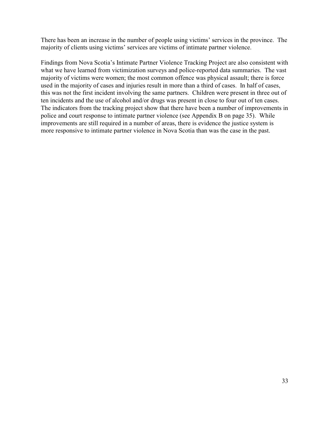There has been an increase in the number of people using victims' services in the province. The majority of clients using victims' services are victims of intimate partner violence.

Findings from Nova Scotia's Intimate Partner Violence Tracking Project are also consistent with what we have learned from victimization surveys and police-reported data summaries. The vast majority of victims were women; the most common offence was physical assault; there is force used in the majority of cases and injuries result in more than a third of cases. In half of cases, this was not the first incident involving the same partners. Children were present in three out of ten incidents and the use of alcohol and/or drugs was present in close to four out of ten cases. The indicators from the tracking project show that there have been a number of improvements in police and court response to intimate partner violence (see Appendix B on page 35). While improvements are still required in a number of areas, there is evidence the justice system is more responsive to intimate partner violence in Nova Scotia than was the case in the past.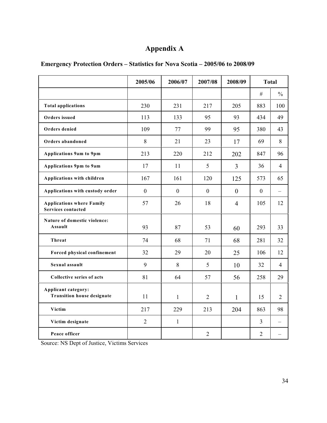## **Appendix A**

|                                                               | 2005/06        | 2006/07      | 2007/08        | 2008/09        | <b>Total</b>   |                |
|---------------------------------------------------------------|----------------|--------------|----------------|----------------|----------------|----------------|
|                                                               |                |              |                |                | $\#$           | $\frac{0}{0}$  |
| <b>Total applications</b>                                     | 230            | 231          | 217            | 205            | 883            | 100            |
| Orders issued                                                 | 113            | 133          | 95             | 93             | 434            | 49             |
| Orders denied                                                 | 109            | 77           | 99             | 95             | 380            | 43             |
| Orders abandoned                                              | 8              | 21           | 23             | 17             | 69             | 8              |
| Applications 9am to 9pm                                       | 213            | 220          | 212            | 202            | 847            | 96             |
| Applications 9pm to 9am                                       | 17             | 11           | 5              | $\overline{3}$ | 36             | $\overline{4}$ |
| Applications with children                                    | 167            | 161          | 120            | 125            | 573            | 65             |
| Applications with custody order                               | $\mathbf{0}$   | $\mathbf{0}$ | $\mathbf{0}$   | $\mathbf{0}$   | $\mathbf{0}$   |                |
| <b>Applications where Family</b><br><b>Services contacted</b> | 57             | 26           | 18             | $\overline{4}$ | 105            | 12             |
| Nature of domestic violence:<br>Assault                       | 93             | 87           | 53             | 60             | 293            | 33             |
| Threat                                                        | 74             | 68           | 71             | 68             | 281            | 32             |
| Forced physical confinement                                   | 32             | 29           | 20             | 25             | 106            | 12             |
| Sexual assault                                                | 9              | 8            | 5              | 10             | 32             | $\overline{4}$ |
| Collective series of acts                                     | 81             | 64           | 57             | 56             | 258            | 29             |
| Applicant category:<br><b>Transition house designate</b>      | 11             | $\mathbf{1}$ | $\overline{2}$ | $\mathbf{1}$   | 15             | $\overline{2}$ |
| Victim                                                        | 217            | 229          | 213            | 204            | 863            | 98             |
| Victim designate                                              | $\overline{2}$ | $\mathbf{1}$ |                |                | 3              |                |
| Peace officer                                                 |                |              | $\overline{2}$ |                | $\overline{2}$ |                |

**Emergency Protection Orders – Statistics for Nova Scotia – 2005/06 to 2008/09**

Source: NS Dept of Justice, Victims Services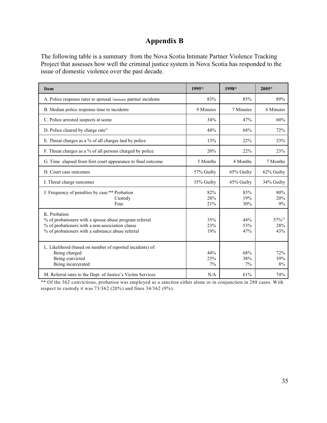## **Appendix B**

The following table is a summary from the Nova Scotia Intimate Partner Violence Tracking Project that assesses how well the criminal justice system in Nova Scotia has responded to the issue of domestic violence over the past decade.

| <b>Item</b>                                                                                                                                                                    | 1995*             | 1998*             | $2005*$                         |
|--------------------------------------------------------------------------------------------------------------------------------------------------------------------------------|-------------------|-------------------|---------------------------------|
| A. Police response rates to spousal /intimate partner incidents                                                                                                                | 83%               | 85%               | 89%                             |
| B. Median police response time to incidents                                                                                                                                    | 9 Minutes         | 7 Minutes         | 6 Minutes                       |
| C. Police arrested suspects at scene                                                                                                                                           | 34%               | 47%               | 60%                             |
| D. Police cleared by charge rate <sup>21</sup>                                                                                                                                 | 44%               | 68%               | 72%                             |
| E. Threat charges as a % of all charges laid by police                                                                                                                         | 13%               | 22%               | 23%                             |
| F. Threat charges as a % of all persons charged by police                                                                                                                      | 20%               | 22%               | 23%                             |
| G. Time elapsed from first court appearance to final outcome                                                                                                                   | 5 Months          | 4 Months          | 7 Months                        |
| H. Court case outcomes                                                                                                                                                         | 57% Guilty        | 65% Guilty        | 62% Guilty                      |
| I. Threat charge outcomes                                                                                                                                                      | 35% Guilty        | 45% Guilty        | 34% Guilty                      |
| J. Frequency of penalties by case: ** Probation<br>Custody<br>Fine                                                                                                             | 82%<br>28%<br>21% | 83%<br>19%<br>30% | 80%<br>20%<br>9%                |
| K. Probation<br>% of probationers with a spouse abuse program referral<br>% of probationers with a non-association clause<br>% of probationers with a substance abuse referral | 35%<br>23%<br>19% | 44%<br>53%<br>47% | 57% <sup>22</sup><br>28%<br>43% |
| L. Likelihood (based on number of reported incidents) of:<br>Being charged<br>Being convicted<br>Being incarcerated                                                            | 44%<br>25%<br>7%  | 68%<br>38%<br>7%  | 72%<br>39%<br>8%                |
| M. Referral rates to the Dept. of Justice's Victim Services                                                                                                                    | N/A               | 61%               | 74%                             |

\*\* Of the 362 convictions, probation was employed as a sanction either alone or in conjunction in 288 cases. With respect to custody it was 73/362 (20%) and fines 34/362 (9%).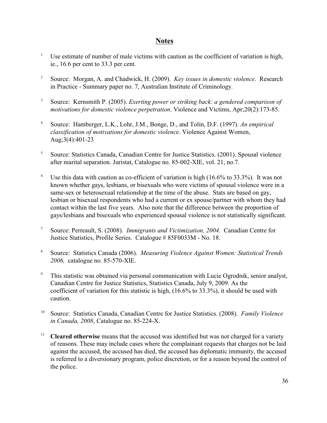## **Notes**

- <sup>1</sup> Use estimate of number of male victims with caution as the coefficient of variation is high, ie., 16.6 per cent to 33.3 per cent.
- <sup>2</sup> Source: Morgan, A. and Chadwick, H. (2009). *Key issues in domestic violence*. Research in Practice - Summary paper no. 7, Australian Institute of Criminology.
- <sup>3</sup> Source: Kernsmith P. (2005). *Exerting power or striking back: a gendered comparison of motivations for domestic violence perpetration*. Violence and Victims, Apr;20(2):173-85.
- Source: Hamberger, L.K., Lohr, J.M., Bonge, D., and Tolin, D.F. (1997). *An empirical* <sup>4</sup> *classification of motivations for domestic violence*. Violence Against Women, Aug;3(4):401-23
- <sup>5</sup> Source: Statistics Canada, Canadian Centre for Justice Statistics. (2001). Spousal violence after marital separation. Juristat, Catalogue no. 85-002-XIE, vol. 21, no.7.
- <sup>6</sup> Use this data with caution as co-efficient of variation is high  $(16.6\%$  to 33.3%). It was not known whether gays, lesbians, or bisexuals who were victims of spousal violence were in a same-sex or heterosexual relationship at the time of the abuse. Stats are based on gay, lesbian or bisexual respondents who had a current or ex spouse/partner with whom they had contact within the last five years. Also note that the difference between the proportion of gays/lesbians and bisexuals who experienced spousal violence is not statistically significant.
- Source: Perreault, S. (2008). *Immigrants and Victimization, 2004.* Canadian Centre for <sup>7</sup> Justice Statistics, Profile Series. Catalogue # 85F0033M - No. 18.
- Source: Statistics Canada (2006). *Measuring Violence Against Women: Statistical Trends* <sup>8</sup> *2006,* catalogue no. 85-570-XIE.
- <sup>9</sup> This statistic was obtained via personal communication with Lucie Ogrodnik, senior analyst, Canadian Centre for Justice Statistics, Statistics Canada, July 9, 2009. As the coefficient of variation for this statistic is high, (16.6% to 33.3%), it should be used with caution.
- Source: Statistics Canada, Canadian Centre for Justice Statistics. (2008). Family Violence *in Canada, 2008*, Catalogue no. 85-224-X.
- <sup>11</sup> Cleared otherwise means that the accused was identified but was not charged for a variety of reasons. These may include cases where the complainant requests that charges not be laid against the accused, the accused has died, the accused has diplomatic immunity, the accused is referred to a diversionary program, police discretion, or for a reason beyond the control of the police.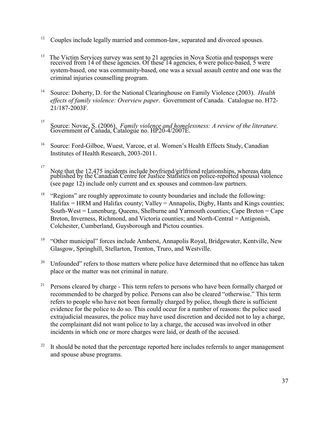- <sup>12</sup> Couples include legally married and common-law, separated and divorced spouses.
- $13$  The Victim Services survey was sent to 21 agencies in Nova Scotia and responses were received from 14 of these agencies. Of these 14 agencies, 6 were police-based, 5 were system-based, one was community-based, one was a sexual assault centre and one was the criminal injuries counselling program.
- <sup>14</sup> Source: Doherty, D. for the National Clearinghouse on Family Violence (2003). *Health effects of family violence: Overview paper*. Government of Canada. Catalogue no. H72- 21/187-2003F.
- Source: Novac, S. (2006). *Family violence and homelessness: A review of the literature*. 15 Government of Canada, Catalogue no. HP20-4/2007E.
- <sup>16</sup> Source: Ford-Gilboe, Wuest, Varcoe, et al. Women's Health Effects Study, Canadian Institutes of Health Research, 2003-2011.
- Note that the 12,475 incidents include boyfriend/girlfriend relationships, whereas data 17 published by the Canadian Centre for Justice Statistics on police-reported spousal violence (see page 12) include only current and ex spouses and common-law partners.
- $18$  "Regions" are roughly approximate to county boundaries and include the following:  $H\nu$  Halifax = HRM and Halifax county; Valley = Annapolis, Digby, Hants and Kings counties; South-West = Lunenburg, Queens, Shelburne and Yarmouth counties; Cape Breton = Cape Breton, Inverness, Richmond, and Victoria counties; and North-Central = Antigonish, Colchester, Cumberland, Guysborough and Pictou counties.
- $^{19}$  "Other municipal" forces include Amherst, Annapolis Royal, Bridgewater, Kentville, New Glasgow, Springhill, Stellarton, Trenton, Truro, and Westville.
- Unfounded" refers to those matters where police have determined that no offence has taken 20 place or the matter was not criminal in nature.
- <sup>21</sup> Persons cleared by charge This term refers to persons who have been formally charged or recommended to be charged by police. Persons can also be cleared "otherwise." This term refers to people who have not been formally charged by police, though there is sufficient evidence for the police to do so. This could occur for a number of reasons: the police used extrajudicial measures, the police may have used discretion and decided not to lay a charge, the complainant did not want police to lay a charge, the accused was involved in other incidents in which one or more charges were laid, or death of the accused.
- $22$  It should be noted that the percentage reported here includes referrals to anger management and spouse abuse programs.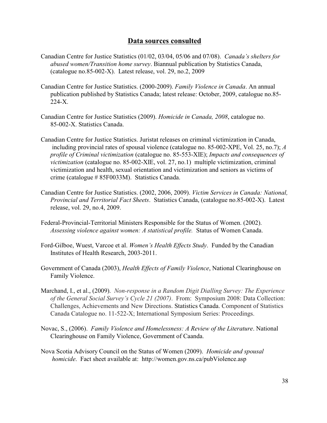#### **Data sources consulted**

- Canadian Centre for Justice Statistics (01/02, 03/04, 05/06 and 07/08). *Canada's shelters for abused women/Transition home survey*. Biannual publication by Statistics Canada, (catalogue no.85-002-X). Latest release, vol. 29, no.2, 2009
- Canadian Centre for Justice Statistics. (2000-2009). *Family Violence in Canada*. An annual publication published by Statistics Canada; latest release: October, 2009, catalogue no.85- 224-X.
- Canadian Centre for Justice Statistics (2009). *Homicide in Canada, 2008*, catalogue no. 85-002-X. Statistics Canada.
- Canadian Centre for Justice Statistics. Juristat releases on criminal victimization in Canada, including provincial rates of spousal violence (catalogue no. 85-002-XPE, Vol. 25, no.7); *A profile of Criminal victimization* (catalogue no. 85-553-XIE); *Impacts and consequences of victimization* (catalogue no. 85-002-XIE, vol. 27, no.1) multiple victimization, criminal victimization and health, sexual orientation and victimization and seniors as victims of crime (catalogue # 85F0033M). Statistics Canada.
- Canadian Centre for Justice Statistics. (2002, 2006, 2009). *Victim Services in Canada: National, Provincial and Territorial Fact Sheets*. Statistics Canada, (catalogue no.85-002-X). Latest release, vol. 29, no.4, 2009.
- Federal-Provincial-Territorial Ministers Responsible for the Status of Women. (2002). *Assessing violence against women: A statistical profile.* Status of Women Canada.
- Ford-Gilboe, Wuest, Varcoe et al. *Women's Health Effects Study*. Funded by the Canadian Institutes of Health Research, 2003-2011.
- Government of Canada (2003), *Health Effects of Family Violence*, National Clearinghouse on Family Violence.
- Marchand, I., et al., (2009). *Non-response in a Random Digit Dialling Survey: The Experience of the General Social Survey's Cycle 21 (2007)*. From: Symposium 2008: Data Collection: Challenges, Achievements and New Directions. Statistics Canada. Component of Statistics Canada Catalogue no. 11-522-X; International Symposium Series: Proceedings.
- Novac, S., (2006). *Family Violence and Homelessness: A Review of the Literature*. National Clearinghouse on Family Violence, Government of Caanda.
- Nova Scotia Advisory Council on the Status of Women (2009). *Homicide and spousal homicide*. Fact sheet available at: http://women.gov.ns.ca/pubViolence.asp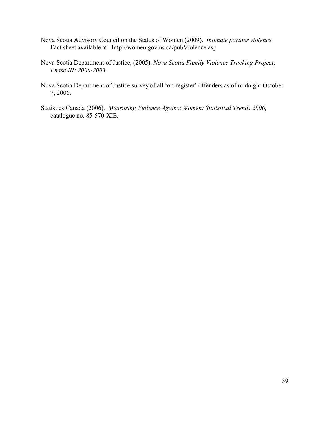- Nova Scotia Advisory Council on the Status of Women (2009). *Intimate partner violence.*  Fact sheet available at: http://women.gov.ns.ca/pubViolence.asp
- Nova Scotia Department of Justice, (2005). *Nova Scotia Family Violence Tracking Project*, *Phase III: 2000-2003.*
- Nova Scotia Department of Justice survey of all 'on-register' offenders as of midnight October 7, 2006.
- Statistics Canada (2006). *Measuring Violence Against Women: Statistical Trends 2006,*  catalogue no. 85-570-XIE.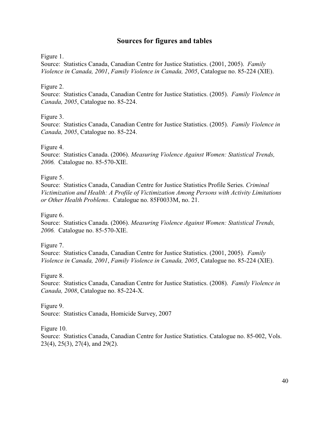## **Sources for figures and tables**

#### Figure 1.

Source: Statistics Canada, Canadian Centre for Justice Statistics. (2001, 2005). *Family Violence in Canada, 2001*, *Family Violence in Canada, 2005*, Catalogue no. 85-224 (XIE).

#### Figure 2.

Source: Statistics Canada, Canadian Centre for Justice Statistics. (2005). *Family Violence in Canada, 2005*, Catalogue no. 85-224.

#### Figure 3.

Source: Statistics Canada, Canadian Centre for Justice Statistics. (2005). *Family Violence in Canada, 2005*, Catalogue no. 85-224.

#### Figure 4.

Source: Statistics Canada. (2006). *Measuring Violence Against Women: Statistical Trends, 2006.* Catalogue no. 85-570-XIE.

#### Figure 5.

Source: Statistics Canada, Canadian Centre for Justice Statistics Profile Series. *Criminal Victimization and Health: A Profile of Victimization Among Persons with Activity Limitations or Other Health Problems*. Catalogue no. 85F0033M, no. 21.

#### Figure 6.

Source: Statistics Canada. (2006). *Measuring Violence Against Women: Statistical Trends, 2006.* Catalogue no. 85-570-XIE.

Figure 7.

Source: Statistics Canada, Canadian Centre for Justice Statistics. (2001, 2005). *Family Violence in Canada, 2001*, *Family Violence in Canada, 2005*, Catalogue no. 85-224 (XIE).

#### Figure 8.

Source: Statistics Canada, Canadian Centre for Justice Statistics. (2008). *Family Violence in Canada, 2008*, Catalogue no. 85-224-X.

Figure 9. Source: Statistics Canada, Homicide Survey, 2007

Figure 10.

Source: Statistics Canada, Canadian Centre for Justice Statistics. Catalogue no. 85-002, Vols. 23(4), 25(3), 27(4), and 29(2).